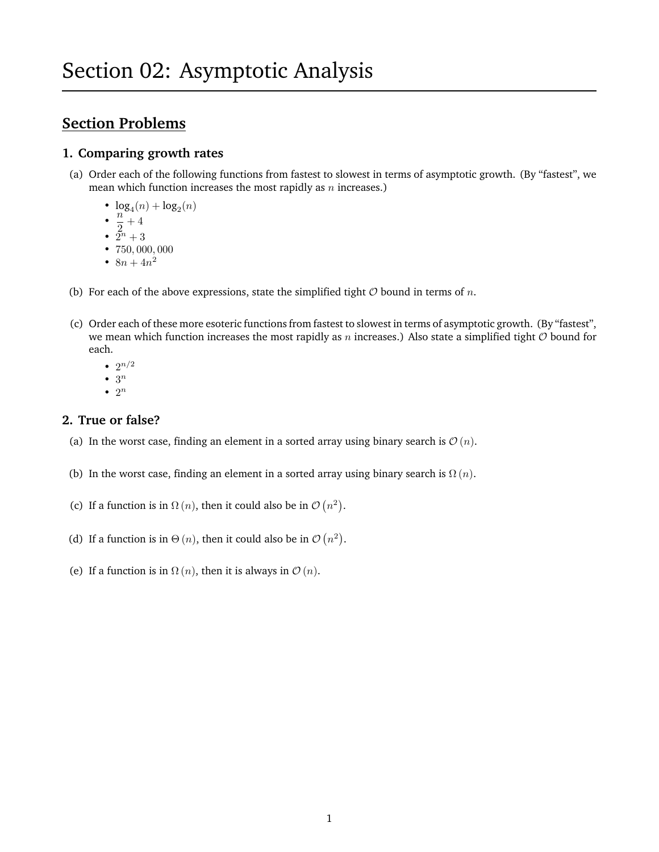# **Section Problems**

## **1. Comparing growth rates**

- (a) Order each of the following functions from fastest to slowest in terms of asymptotic growth. (By "fastest", we mean which function increases the most rapidly as  $n$  increases.)
	- $\log_4(n) + \log_2(n)$
	- $\cdot \frac{n}{2}$
	- $\frac{1}{2}+4$ •  $2^n + 3$
	- 750, 000, 000
	- $8n + 4n^2$
- (b) For each of the above expressions, state the simplified tight  $O$  bound in terms of n.
- (c) Order each of these more esoteric functions from fastest to slowest in terms of asymptotic growth. (By "fastest", we mean which function increases the most rapidly as n increases.) Also state a simplified tight  $O$  bound for each.
	- $2^{n/2}$
	- $\bullet$  3<sup>n</sup>
	- $\bullet$  2<sup>n</sup>

## **2. True or false?**

- (a) In the worst case, finding an element in a sorted array using binary search is  $\mathcal{O}(n)$ .
- (b) In the worst case, finding an element in a sorted array using binary search is  $\Omega(n)$ .
- (c) If a function is in  $\Omega(n)$ , then it could also be in  $\mathcal{O}(n^2)$ .
- (d) If a function is in  $\Theta(n)$ , then it could also be in  $\mathcal{O}(n^2)$ .
- (e) If a function is in  $\Omega(n)$ , then it is always in  $\mathcal{O}(n)$ .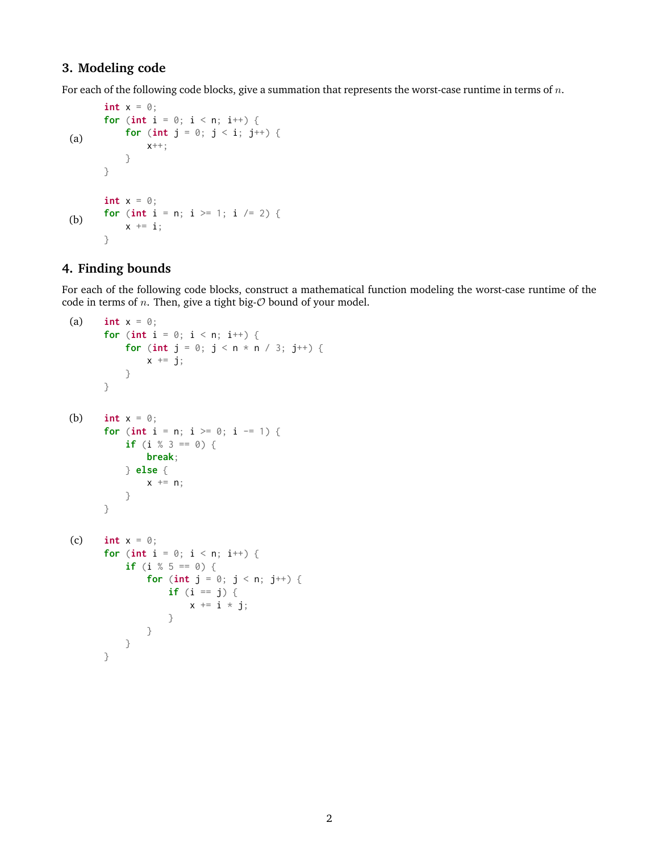#### **3. Modeling code**

For each of the following code blocks, give a summation that represents the worst-case runtime in terms of n.

```
(a)
       int x = 0;
       for (int i = 0; i < n; i++) {
           for (int j = 0; j < i; j^{++}) {
                x++;
           }
       }
(b)
       int x = 0;
       for (int i = n; i >= 1; i /= 2) {
           x \leftarrow^+ = i;
       }
```
#### **4. Finding bounds**

For each of the following code blocks, construct a mathematical function modeling the worst-case runtime of the code in terms of *n*. Then, give a tight big- $\mathcal O$  bound of your model.

```
(a) int x = 0;
       for (int i = 0; i < n; i^{++}) {
           for (int j = 0; j < n * n / 3; j^{++}) {
               x \leftarrow \exists j;}
       }
(b) int x = 0;
       for (int i = n; i \ge 0; i = 1) {
           if (i % 3 == 0) {
               break;
           } else {
               x += n;
           }
       }
(c) int x = 0;
       for (int i = 0; i < n; i++) {
           if (i % 5 == 0) {
               for (int j = 0; j < n; j++) {
                    if (i == j) {
                        x \neq i \times j;
                    }
               }
           }
       }
```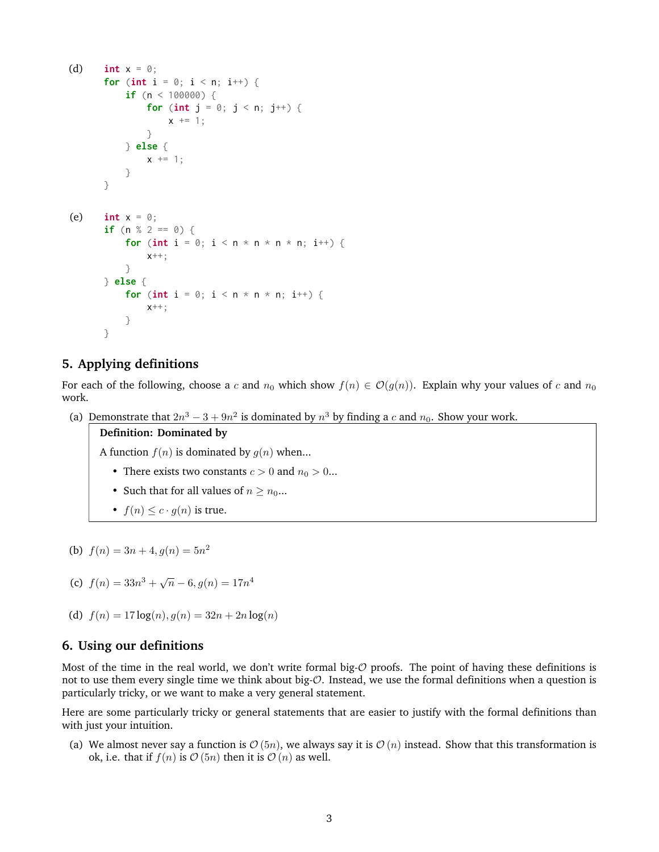```
(d) int x = 0;
       for (int i = 0; i < n; i++) {
           if (n < 100000) {
               for (int j = 0; j < n; j++) {
                   x += 1;
               }
           } else {
               x \leftarrow + = 1;}
       }
(e) int x = 0;
       if (n % 2 == 0) {
           for (int i = 0; i < n * n * n * n; i++) {
               x++;
           }
      } else {
           for (int i = 0; i < n * n * n; i++) {
               x++;
           }
       }
```
#### **5. Applying definitions**

For each of the following, choose a c and  $n_0$  which show  $f(n) \in \mathcal{O}(g(n))$ . Explain why your values of c and  $n_0$ work.

(a) Demonstrate that  $2n^3 - 3 + 9n^2$  is dominated by  $n^3$  by finding a c and  $n_0$ . Show your work.

**Definition: Dominated by**

A function  $f(n)$  is dominated by  $q(n)$  when...

- There exists two constants  $c > 0$  and  $n_0 > 0$ ...
- Such that for all values of  $n \geq n_0...$
- $f(n) < c \cdot q(n)$  is true.

```
(b) f(n) = 3n + 4, g(n) = 5n^2
```
- (c)  $f(n) = 33n^3 + \sqrt{n} 6, g(n) = 17n^4$
- (d)  $f(n) = 17 \log(n), g(n) = 32n + 2n \log(n)$

#### **6. Using our definitions**

Most of the time in the real world, we don't write formal big- $O$  proofs. The point of having these definitions is not to use them every single time we think about big-O. Instead, we use the formal definitions when a question is particularly tricky, or we want to make a very general statement.

Here are some particularly tricky or general statements that are easier to justify with the formal definitions than with just your intuition.

(a) We almost never say a function is  $\mathcal{O}(5n)$ , we always say it is  $\mathcal{O}(n)$  instead. Show that this transformation is ok, i.e. that if  $f(n)$  is  $\mathcal{O}(5n)$  then it is  $\mathcal{O}(n)$  as well.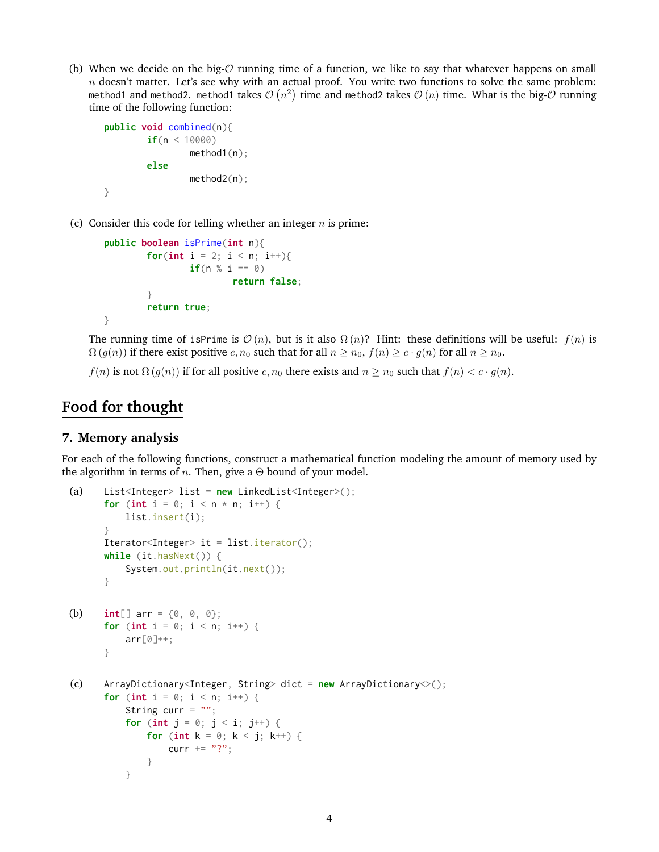(b) When we decide on the big- $O$  running time of a function, we like to say that whatever happens on small  $n$  doesn't matter. Let's see why with an actual proof. You write two functions to solve the same problem: method1 and method2. method1 takes  $\mathcal{O}\left(n^2\right)$  time and method2 takes  $\mathcal{O}\left(n\right)$  time. What is the big- $\mathcal O$  running time of the following function:

```
public void combined(n){
        if(n < 10000)
                method1(n);
        else
                method2(n);
}
```
(c) Consider this code for telling whether an integer  $n$  is prime:

```
public boolean isPrime(int n){
        for(int i = 2; i < n; i++){
                if(n % i == 0)return false;
        }
        return true;
}
```
The running time of isPrime is  $\mathcal{O}(n)$ , but is it also  $\Omega(n)$ ? Hint: these definitions will be useful:  $f(n)$  is  $\Omega(g(n))$  if there exist positive c,  $n_0$  such that for all  $n \ge n_0$ ,  $f(n) \ge c \cdot g(n)$  for all  $n \ge n_0$ .

 $f(n)$  is not  $\Omega(g(n))$  if for all positive  $c, n_0$  there exists and  $n \geq n_0$  such that  $f(n) < c \cdot g(n)$ .

## **Food for thought**

## **7. Memory analysis**

For each of the following functions, construct a mathematical function modeling the amount of memory used by the algorithm in terms of *n*. Then, give a  $\Theta$  bound of your model.

```
(a) List<Integer> list = new LinkedList<Integer>();
      for (int i = 0; i < n * n; i^{++}) {
          list.insert(i);
      }
      Iterator<Integer> it = list.iterator();
      while (it.hasNext()) {
          System.out.println(it.next());
      }
(b) int[] arr = {0, 0, 0};
      for (int i = 0; i < n; i^{++}) {
          arr[0]++;}
(c) ArrayDictionary<Integer, String> dict = new ArrayDictionary<>();
      for (int i = 0; i < n; i++) {
          String curr = ";
          for (int j = 0; j < i; j^{++}) {
              for (int k = 0; k < j; k++) {
                  curr += "?";}
          }
```